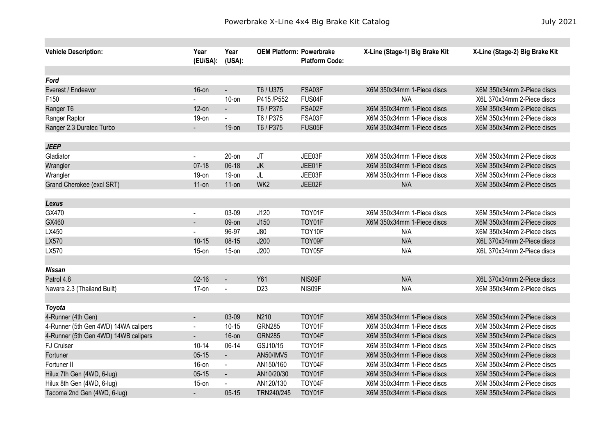| <b>Vehicle Description:</b>          | Year<br>(EU/SA): | Year<br>(USA): | <b>OEM Platform: Powerbrake</b> | <b>Platform Code:</b> | X-Line (Stage-1) Big Brake Kit    | X-Line (Stage-2) Big Brake Kit |
|--------------------------------------|------------------|----------------|---------------------------------|-----------------------|-----------------------------------|--------------------------------|
| Ford                                 |                  |                |                                 |                       |                                   |                                |
|                                      | $16$ -on         |                | T6 / U375                       | FSA03F                |                                   | X6M 350x34mm 2-Piece discs     |
| Everest / Endeavor<br>F150           |                  | $10$ -on       | P415 /P552                      | FUS04F                | X6M 350x34mm 1-Piece discs<br>N/A | X6L 370x34mm 2-Piece discs     |
|                                      | $12$ -on         |                | T6 / P375                       | FSA02F                | X6M 350x34mm 1-Piece discs        | X6M 350x34mm 2-Piece discs     |
| Ranger T6<br>Ranger Raptor           | $19-on$          | $\blacksquare$ | T6 / P375                       | FSA03F                | X6M 350x34mm 1-Piece discs        | X6M 350x34mm 2-Piece discs     |
|                                      |                  | $\blacksquare$ | T6 / P375                       | FUS05F                |                                   |                                |
| Ranger 2.3 Duratec Turbo             |                  | $19$ -on       |                                 |                       | X6M 350x34mm 1-Piece discs        | X6M 350x34mm 2-Piece discs     |
| <b>JEEP</b>                          |                  |                |                                 |                       |                                   |                                |
| Gladiator                            | $\blacksquare$   | $20$ -on       | JT                              | JEE03F                | X6M 350x34mm 1-Piece discs        | X6M 350x34mm 2-Piece discs     |
| Wrangler                             | $07-18$          | $06-18$        | JK                              | JEE01F                | X6M 350x34mm 1-Piece discs        | X6M 350x34mm 2-Piece discs     |
| Wrangler                             | $19-on$          | $19-on$        | JL                              | JEE03F                | X6M 350x34mm 1-Piece discs        | X6M 350x34mm 2-Piece discs     |
| Grand Cherokee (excl SRT)            | $11$ -on         | $11$ -on       | WK <sub>2</sub>                 | JEE02F                | N/A                               | X6M 350x34mm 2-Piece discs     |
|                                      |                  |                |                                 |                       |                                   |                                |
| Lexus                                |                  |                |                                 |                       |                                   |                                |
| GX470                                | $\blacksquare$   | 03-09          | J120                            | TOY01F                | X6M 350x34mm 1-Piece discs        | X6M 350x34mm 2-Piece discs     |
| GX460                                |                  | 09-on          | J150                            | TOY01F                | X6M 350x34mm 1-Piece discs        | X6M 350x34mm 2-Piece discs     |
| LX450                                |                  | 96-97          | J80                             | TOY10F                | N/A                               | X6M 350x34mm 2-Piece discs     |
| LX570                                | $10 - 15$        | $08 - 15$      | J200                            | TOY09F                | N/A                               | X6L 370x34mm 2-Piece discs     |
| LX570                                | $15$ -on         | $15$ -on       | J200                            | TOY05F                | N/A                               | X6L 370x34mm 2-Piece discs     |
|                                      |                  |                |                                 |                       |                                   |                                |
| <b>Nissan</b>                        |                  |                |                                 |                       |                                   |                                |
| Patrol 4.8                           | $02 - 16$        | $\blacksquare$ | Y61                             | NIS09F                | N/A                               | X6L 370x34mm 2-Piece discs     |
| Navara 2.3 (Thailand Built)          | $17-on$          |                | D <sub>23</sub>                 | NIS09F                | N/A                               | X6M 350x34mm 2-Piece discs     |
|                                      |                  |                |                                 |                       |                                   |                                |
| <b>Toyota</b>                        |                  |                |                                 |                       |                                   |                                |
| 4-Runner (4th Gen)                   | $\blacksquare$   | 03-09          | N210                            | TOY01F                | X6M 350x34mm 1-Piece discs        | X6M 350x34mm 2-Piece discs     |
| 4-Runner (5th Gen 4WD) 14WA calipers | $\blacksquare$   | $10 - 15$      | <b>GRN285</b>                   | TOY01F                | X6M 350x34mm 1-Piece discs        | X6M 350x34mm 2-Piece discs     |
| 4-Runner (5th Gen 4WD) 14WB calipers |                  | $16$ -on       | <b>GRN285</b>                   | TOY04F                | X6M 350x34mm 1-Piece discs        | X6M 350x34mm 2-Piece discs     |
| <b>FJ Cruiser</b>                    | $10 - 14$        | 06-14          | GSJ10/15                        | TOY01F                | X6M 350x34mm 1-Piece discs        | X6M 350x34mm 2-Piece discs     |
| Fortuner                             | $05 - 15$        | $\blacksquare$ | AN50/IMV5                       | TOY01F                | X6M 350x34mm 1-Piece discs        | X6M 350x34mm 2-Piece discs     |
| Fortuner II                          | $16$ -on         | $\blacksquare$ | AN150/160                       | TOY04F                | X6M 350x34mm 1-Piece discs        | X6M 350x34mm 2-Piece discs     |
| Hilux 7th Gen (4WD, 6-lug)           | $05 - 15$        | $\blacksquare$ | AN10/20/30                      | TOY01F                | X6M 350x34mm 1-Piece discs        | X6M 350x34mm 2-Piece discs     |
| Hilux 8th Gen (4WD, 6-lug)           | $15$ -on         |                | AN120/130                       | TOY04F                | X6M 350x34mm 1-Piece discs        | X6M 350x34mm 2-Piece discs     |
| Tacoma 2nd Gen (4WD, 6-lug)          |                  | $05 - 15$      | TRN240/245                      | TOY01F                | X6M 350x34mm 1-Piece discs        | X6M 350x34mm 2-Piece discs     |